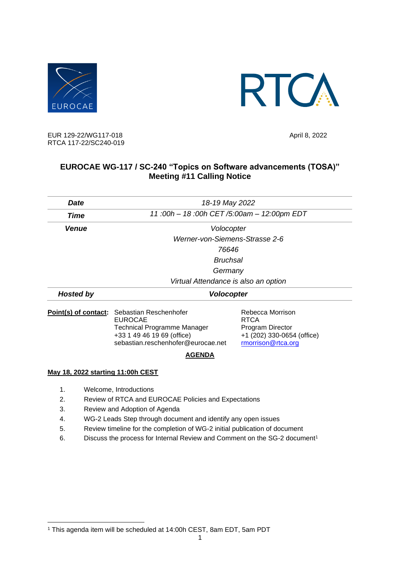



EUR 129-22/WG117-018 April 8, 2022 RTCA 117-22/SC240-019

## **EUROCAE WG-117 / SC-240 "Topics on Software advancements (TOSA)" Meeting #11 Calling Notice**

| <b>Date</b>          | 18-19 May 2022                           |                                 |
|----------------------|------------------------------------------|---------------------------------|
| Time                 | 11:00h - 18:00h CET/5:00am - 12:00pm EDT |                                 |
| <b>Venue</b>         | Volocopter                               |                                 |
|                      | Werner-von-Siemens-Strasse 2-6           |                                 |
|                      | 76646                                    |                                 |
|                      | <b>Bruchsal</b>                          |                                 |
|                      | Germany                                  |                                 |
|                      | Virtual Attendance is also an option     |                                 |
| <b>Hosted by</b>     | <b>Volocopter</b>                        |                                 |
| Point(s) of contact: | Sebastian Reschenhofer<br><b>EUROCAE</b> | Rebecca Morrison<br><b>RTCA</b> |
|                      | <b>Technical Programme Manager</b>       | Program Director                |
|                      | +33 1 49 46 19 69 (office)               | +1 (202) 330-0654 (office)      |
|                      | sebastian.reschenhofer@eurocae.net       | rmorrison@rtca.org              |
|                      | <b>AGENDA</b>                            |                                 |

## **May 18, 2022 starting 11:00h CEST**

- 1. Welcome, Introductions
- 2. Review of RTCA and EUROCAE Policies and Expectations
- 3. Review and Adoption of Agenda
- 4. WG-2 Leads Step through document and identify any open issues
- 5. Review timeline for the completion of WG-2 initial publication of document
- 6. Discuss the process for Internal Review and Comment on the SG-2 document<sup>1</sup>

<sup>1</sup> This agenda item will be scheduled at 14:00h CEST, 8am EDT, 5am PDT